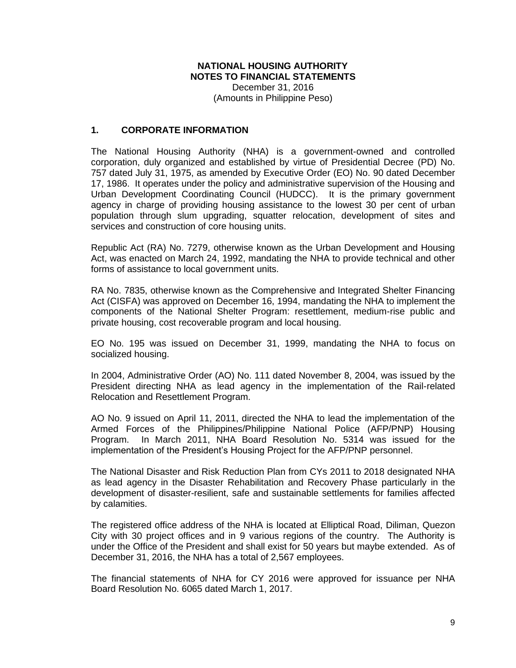# **NATIONAL HOUSING AUTHORITY NOTES TO FINANCIAL STATEMENTS** December 31, 2016

(Amounts in Philippine Peso)

## **1. CORPORATE INFORMATION**

The National Housing Authority (NHA) is a government-owned and controlled corporation, duly organized and established by virtue of Presidential Decree (PD) No. 757 dated July 31, 1975, as amended by Executive Order (EO) No. 90 dated December 17, 1986. It operates under the policy and administrative supervision of the Housing and Urban Development Coordinating Council (HUDCC). It is the primary government agency in charge of providing housing assistance to the lowest 30 per cent of urban population through slum upgrading, squatter relocation, development of sites and services and construction of core housing units.

Republic Act (RA) No. 7279, otherwise known as the Urban Development and Housing Act, was enacted on March 24, 1992, mandating the NHA to provide technical and other forms of assistance to local government units.

RA No. 7835, otherwise known as the Comprehensive and Integrated Shelter Financing Act (CISFA) was approved on December 16, 1994, mandating the NHA to implement the components of the National Shelter Program: resettlement, medium-rise public and private housing, cost recoverable program and local housing.

EO No. 195 was issued on December 31, 1999, mandating the NHA to focus on socialized housing.

In 2004, Administrative Order (AO) No. 111 dated November 8, 2004, was issued by the President directing NHA as lead agency in the implementation of the Rail-related Relocation and Resettlement Program.

AO No. 9 issued on April 11, 2011, directed the NHA to lead the implementation of the Armed Forces of the Philippines/Philippine National Police (AFP/PNP) Housing Program. In March 2011, NHA Board Resolution No. 5314 was issued for the implementation of the President's Housing Project for the AFP/PNP personnel.

The National Disaster and Risk Reduction Plan from CYs 2011 to 2018 designated NHA as lead agency in the Disaster Rehabilitation and Recovery Phase particularly in the development of disaster-resilient, safe and sustainable settlements for families affected by calamities.

The registered office address of the NHA is located at Elliptical Road, Diliman, Quezon City with 30 project offices and in 9 various regions of the country. The Authority is under the Office of the President and shall exist for 50 years but maybe extended. As of December 31, 2016, the NHA has a total of 2,567 employees.

The financial statements of NHA for CY 2016 were approved for issuance per NHA Board Resolution No. 6065 dated March 1, 2017.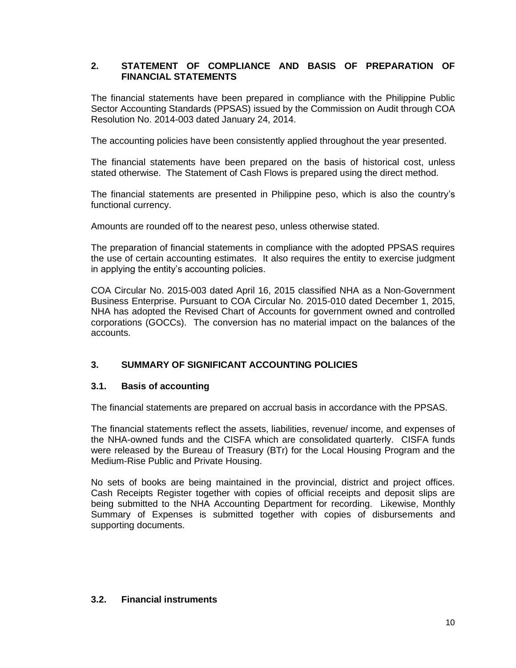# **2. STATEMENT OF COMPLIANCE AND BASIS OF PREPARATION OF FINANCIAL STATEMENTS**

The financial statements have been prepared in compliance with the Philippine Public Sector Accounting Standards (PPSAS) issued by the Commission on Audit through COA Resolution No. 2014-003 dated January 24, 2014.

The accounting policies have been consistently applied throughout the year presented.

The financial statements have been prepared on the basis of historical cost, unless stated otherwise. The Statement of Cash Flows is prepared using the direct method.

The financial statements are presented in Philippine peso, which is also the country's functional currency.

Amounts are rounded off to the nearest peso, unless otherwise stated.

The preparation of financial statements in compliance with the adopted PPSAS requires the use of certain accounting estimates. It also requires the entity to exercise judgment in applying the entity's accounting policies.

COA Circular No. 2015-003 dated April 16, 2015 classified NHA as a Non-Government Business Enterprise. Pursuant to COA Circular No. 2015-010 dated December 1, 2015, NHA has adopted the Revised Chart of Accounts for government owned and controlled corporations (GOCCs). The conversion has no material impact on the balances of the accounts.

## **3. SUMMARY OF SIGNIFICANT ACCOUNTING POLICIES**

## **3.1. Basis of accounting**

The financial statements are prepared on accrual basis in accordance with the PPSAS.

The financial statements reflect the assets, liabilities, revenue/ income, and expenses of the NHA-owned funds and the CISFA which are consolidated quarterly. CISFA funds were released by the Bureau of Treasury (BTr) for the Local Housing Program and the Medium-Rise Public and Private Housing.

No sets of books are being maintained in the provincial, district and project offices. Cash Receipts Register together with copies of official receipts and deposit slips are being submitted to the NHA Accounting Department for recording. Likewise, Monthly Summary of Expenses is submitted together with copies of disbursements and supporting documents.

#### **3.2. Financial instruments**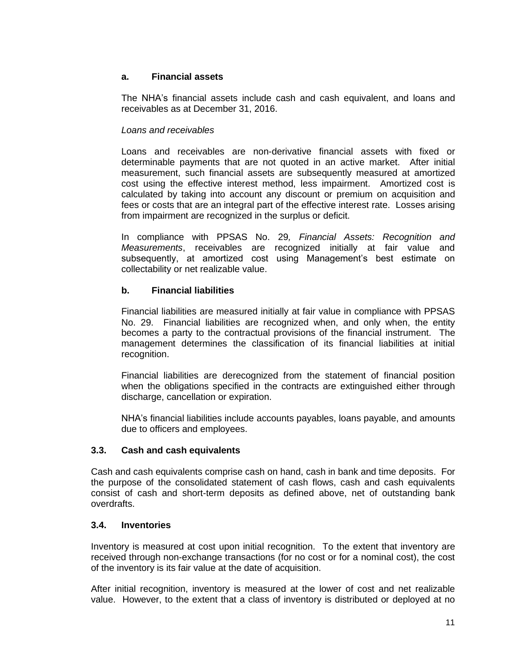## **a. Financial assets**

The NHA's financial assets include cash and cash equivalent, and loans and receivables as at December 31, 2016.

## *Loans and receivables*

Loans and receivables are non-derivative financial assets with fixed or determinable payments that are not quoted in an active market. After initial measurement, such financial assets are subsequently measured at amortized cost using the effective interest method, less impairment. Amortized cost is calculated by taking into account any discount or premium on acquisition and fees or costs that are an integral part of the effective interest rate. Losses arising from impairment are recognized in the surplus or deficit.

In compliance with PPSAS No. 29*, Financial Assets: Recognition and Measurements*, receivables are recognized initially at fair value and subsequently, at amortized cost using Management's best estimate on collectability or net realizable value.

# **b. Financial liabilities**

Financial liabilities are measured initially at fair value in compliance with PPSAS No. 29. Financial liabilities are recognized when, and only when, the entity becomes a party to the contractual provisions of the financial instrument. The management determines the classification of its financial liabilities at initial recognition.

Financial liabilities are derecognized from the statement of financial position when the obligations specified in the contracts are extinguished either through discharge, cancellation or expiration.

NHA's financial liabilities include accounts payables, loans payable, and amounts due to officers and employees.

## **3.3. Cash and cash equivalents**

Cash and cash equivalents comprise cash on hand, cash in bank and time deposits. For the purpose of the consolidated statement of cash flows, cash and cash equivalents consist of cash and short-term deposits as defined above, net of outstanding bank overdrafts.

## **3.4. Inventories**

Inventory is measured at cost upon initial recognition. To the extent that inventory are received through non-exchange transactions (for no cost or for a nominal cost), the cost of the inventory is its fair value at the date of acquisition.

After initial recognition, inventory is measured at the lower of cost and net realizable value. However, to the extent that a class of inventory is distributed or deployed at no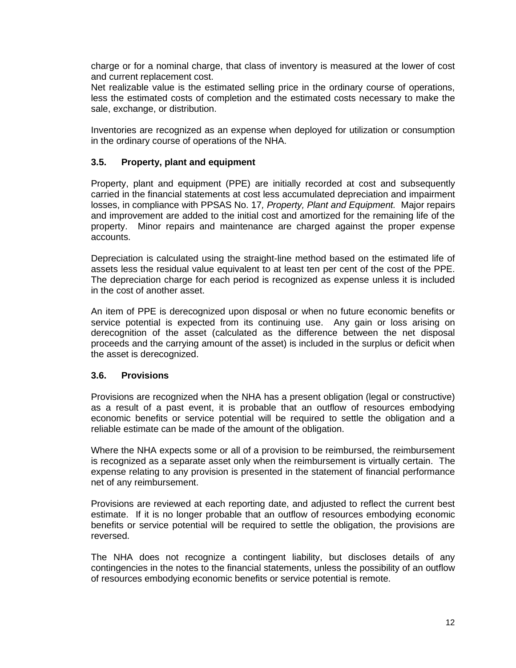charge or for a nominal charge, that class of inventory is measured at the lower of cost and current replacement cost.

Net realizable value is the estimated selling price in the ordinary course of operations, less the estimated costs of completion and the estimated costs necessary to make the sale, exchange, or distribution.

Inventories are recognized as an expense when deployed for utilization or consumption in the ordinary course of operations of the NHA.

## **3.5. Property, plant and equipment**

Property, plant and equipment (PPE) are initially recorded at cost and subsequently carried in the financial statements at cost less accumulated depreciation and impairment losses, in compliance with PPSAS No. 17*, Property, Plant and Equipment.* Major repairs and improvement are added to the initial cost and amortized for the remaining life of the property. Minor repairs and maintenance are charged against the proper expense accounts.

Depreciation is calculated using the straight-line method based on the estimated life of assets less the residual value equivalent to at least ten per cent of the cost of the PPE. The depreciation charge for each period is recognized as expense unless it is included in the cost of another asset.

An item of PPE is derecognized upon disposal or when no future economic benefits or service potential is expected from its continuing use. Any gain or loss arising on derecognition of the asset (calculated as the difference between the net disposal proceeds and the carrying amount of the asset) is included in the surplus or deficit when the asset is derecognized.

#### **3.6. Provisions**

Provisions are recognized when the NHA has a present obligation (legal or constructive) as a result of a past event, it is probable that an outflow of resources embodying economic benefits or service potential will be required to settle the obligation and a reliable estimate can be made of the amount of the obligation.

Where the NHA expects some or all of a provision to be reimbursed, the reimbursement is recognized as a separate asset only when the reimbursement is virtually certain. The expense relating to any provision is presented in the statement of financial performance net of any reimbursement.

Provisions are reviewed at each reporting date, and adjusted to reflect the current best estimate. If it is no longer probable that an outflow of resources embodying economic benefits or service potential will be required to settle the obligation, the provisions are reversed.

The NHA does not recognize a contingent liability, but discloses details of any contingencies in the notes to the financial statements, unless the possibility of an outflow of resources embodying economic benefits or service potential is remote.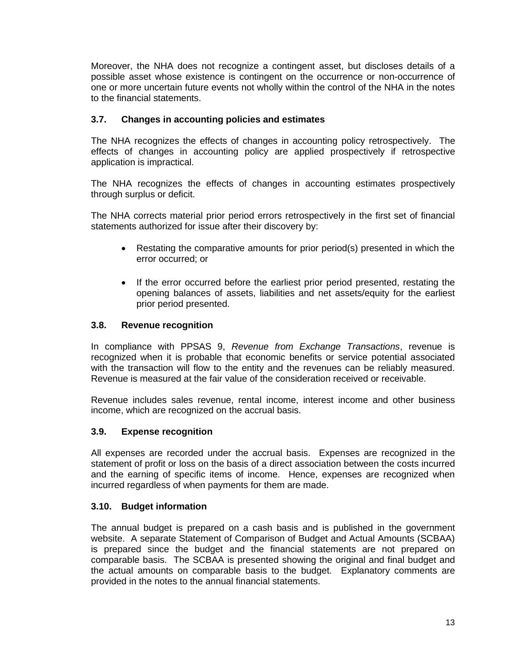Moreover, the NHA does not recognize a contingent asset, but discloses details of a possible asset whose existence is contingent on the occurrence or non-occurrence of one or more uncertain future events not wholly within the control of the NHA in the notes to the financial statements.

# **3.7. Changes in accounting policies and estimates**

The NHA recognizes the effects of changes in accounting policy retrospectively. The effects of changes in accounting policy are applied prospectively if retrospective application is impractical.

The NHA recognizes the effects of changes in accounting estimates prospectively through surplus or deficit.

The NHA corrects material prior period errors retrospectively in the first set of financial statements authorized for issue after their discovery by:

- Restating the comparative amounts for prior period(s) presented in which the error occurred; or
- If the error occurred before the earliest prior period presented, restating the opening balances of assets, liabilities and net assets/equity for the earliest prior period presented.

#### **3.8. Revenue recognition**

In compliance with PPSAS 9, *Revenue from Exchange Transactions*, revenue is recognized when it is probable that economic benefits or service potential associated with the transaction will flow to the entity and the revenues can be reliably measured. Revenue is measured at the fair value of the consideration received or receivable.

Revenue includes sales revenue, rental income, interest income and other business income, which are recognized on the accrual basis.

#### **3.9. Expense recognition**

All expenses are recorded under the accrual basis. Expenses are recognized in the statement of profit or loss on the basis of a direct association between the costs incurred and the earning of specific items of income. Hence, expenses are recognized when incurred regardless of when payments for them are made.

#### **3.10. Budget information**

The annual budget is prepared on a cash basis and is published in the government website. A separate Statement of Comparison of Budget and Actual Amounts (SCBAA) is prepared since the budget and the financial statements are not prepared on comparable basis. The SCBAA is presented showing the original and final budget and the actual amounts on comparable basis to the budget. Explanatory comments are provided in the notes to the annual financial statements.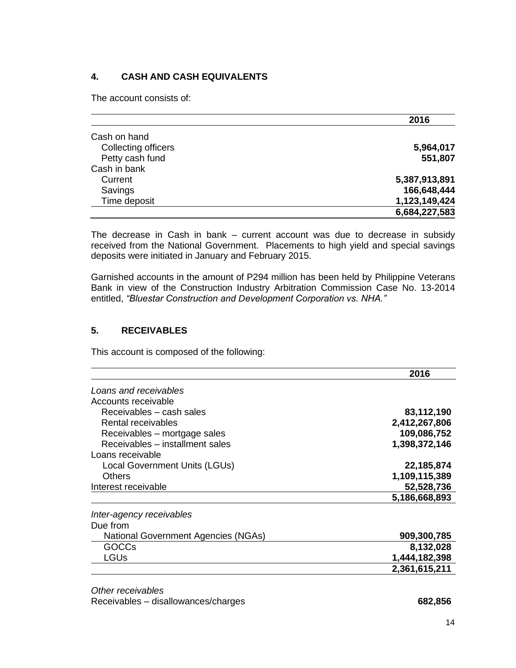# **4. CASH AND CASH EQUIVALENTS**

The account consists of:

|                     | 2016          |
|---------------------|---------------|
| Cash on hand        |               |
| Collecting officers | 5,964,017     |
| Petty cash fund     | 551,807       |
| Cash in bank        |               |
| Current             | 5,387,913,891 |
| Savings             | 166,648,444   |
| Time deposit        | 1,123,149,424 |
|                     | 6,684,227,583 |

The decrease in Cash in bank – current account was due to decrease in subsidy received from the National Government. Placements to high yield and special savings deposits were initiated in January and February 2015.

Garnished accounts in the amount of P294 million has been held by Philippine Veterans Bank in view of the Construction Industry Arbitration Commission Case No. 13-2014 entitled, *"Bluestar Construction and Development Corporation vs. NHA."*

## **5. RECEIVABLES**

This account is composed of the following:

|                                     | 2016          |
|-------------------------------------|---------------|
| Loans and receivables               |               |
| Accounts receivable                 |               |
| Receivables – cash sales            | 83,112,190    |
| Rental receivables                  | 2,412,267,806 |
| Receivables – mortgage sales        | 109,086,752   |
| Receivables - installment sales     | 1,398,372,146 |
| Loans receivable                    |               |
| Local Government Units (LGUs)       | 22,185,874    |
| Others                              | 1,109,115,389 |
| Interest receivable                 | 52,528,736    |
|                                     | 5,186,668,893 |
| Inter-agency receivables            |               |
| Due from                            |               |
| National Government Agencies (NGAs) | 909,300,785   |
| GOCCs                               | 8,132,028     |
| LGUs                                | 1,444,182,398 |
|                                     | 2,361,615,211 |

*Other receivables* Receivables – disallowances/charges **682,856**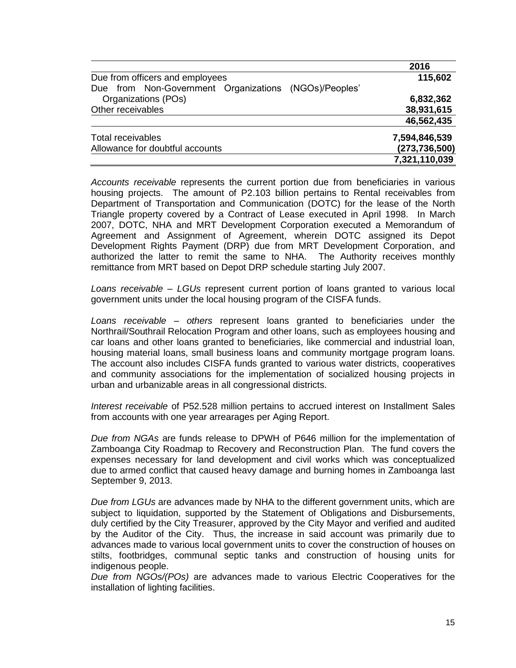|                                                       | 2016            |
|-------------------------------------------------------|-----------------|
| Due from officers and employees                       | 115,602         |
| Due from Non-Government Organizations (NGOs)/Peoples' |                 |
| Organizations (POs)                                   | 6,832,362       |
| Other receivables                                     | 38,931,615      |
|                                                       | 46,562,435      |
| Total receivables                                     | 7,594,846,539   |
| Allowance for doubtful accounts                       | (273, 736, 500) |
|                                                       | 7,321,110,039   |
|                                                       |                 |

*Accounts receivable* represents the current portion due from beneficiaries in various housing projects. The amount of P2.103 billion pertains to Rental receivables from Department of Transportation and Communication (DOTC) for the lease of the North Triangle property covered by a Contract of Lease executed in April 1998. In March 2007, DOTC, NHA and MRT Development Corporation executed a Memorandum of Agreement and Assignment of Agreement, wherein DOTC assigned its Depot Development Rights Payment (DRP) due from MRT Development Corporation, and authorized the latter to remit the same to NHA. The Authority receives monthly remittance from MRT based on Depot DRP schedule starting July 2007.

*Loans receivable – LGUs* represent current portion of loans granted to various local government units under the local housing program of the CISFA funds.

*Loans receivable – others* represent loans granted to beneficiaries under the Northrail/Southrail Relocation Program and other loans, such as employees housing and car loans and other loans granted to beneficiaries, like commercial and industrial loan, housing material loans, small business loans and community mortgage program loans. The account also includes CISFA funds granted to various water districts, cooperatives and community associations for the implementation of socialized housing projects in urban and urbanizable areas in all congressional districts.

*Interest receivable* of P52.528 million pertains to accrued interest on Installment Sales from accounts with one year arrearages per Aging Report.

*Due from NGAs* are funds release to DPWH of P646 million for the implementation of Zamboanga City Roadmap to Recovery and Reconstruction Plan. The fund covers the expenses necessary for land development and civil works which was conceptualized due to armed conflict that caused heavy damage and burning homes in Zamboanga last September 9, 2013.

*Due from LGUs* are advances made by NHA to the different government units, which are subject to liquidation, supported by the Statement of Obligations and Disbursements, duly certified by the City Treasurer, approved by the City Mayor and verified and audited by the Auditor of the City. Thus, the increase in said account was primarily due to advances made to various local government units to cover the construction of houses on stilts, footbridges, communal septic tanks and construction of housing units for indigenous people.

*Due from NGOs/(POs)* are advances made to various Electric Cooperatives for the installation of lighting facilities.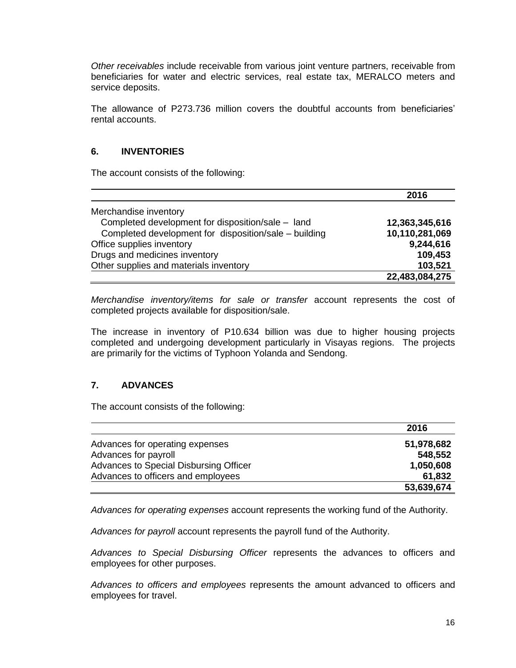*Other receivables* include receivable from various joint venture partners, receivable from beneficiaries for water and electric services, real estate tax, MERALCO meters and service deposits.

The allowance of P273.736 million covers the doubtful accounts from beneficiaries' rental accounts.

# **6. INVENTORIES**

The account consists of the following:

|                                                       | 2016           |
|-------------------------------------------------------|----------------|
| Merchandise inventory                                 |                |
| Completed development for disposition/sale - land     | 12,363,345,616 |
| Completed development for disposition/sale - building | 10,110,281,069 |
| Office supplies inventory                             | 9,244,616      |
| Drugs and medicines inventory                         | 109,453        |
| Other supplies and materials inventory                | 103,521        |
|                                                       | 22,483,084,275 |

*Merchandise inventory/items for sale or transfer* account represents the cost of completed projects available for disposition/sale.

The increase in inventory of P10.634 billion was due to higher housing projects completed and undergoing development particularly in Visayas regions. The projects are primarily for the victims of Typhoon Yolanda and Sendong.

## **7. ADVANCES**

The account consists of the following:

|                                        | 2016       |
|----------------------------------------|------------|
| Advances for operating expenses        | 51,978,682 |
| Advances for payroll                   | 548,552    |
| Advances to Special Disbursing Officer | 1,050,608  |
| Advances to officers and employees     | 61,832     |
|                                        | 53,639,674 |

*Advances for operating expenses* account represents the working fund of the Authority.

*Advances for payroll* account represents the payroll fund of the Authority.

*Advances to Special Disbursing Officer* represents the advances to officers and employees for other purposes.

*Advances to officers and employees* represents the amount advanced to officers and employees for travel.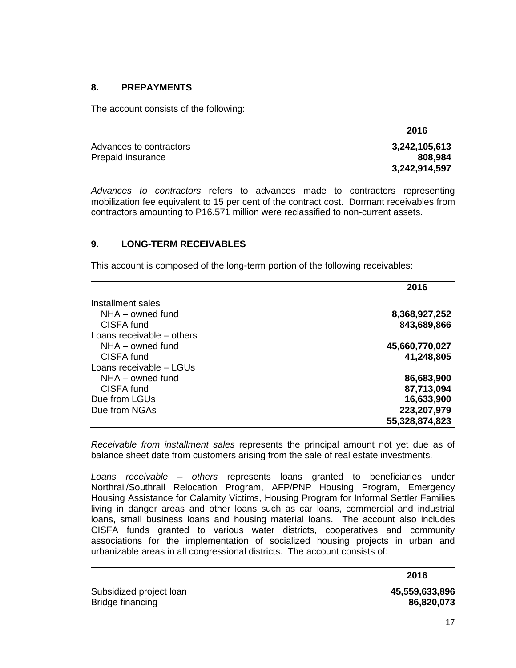# **8. PREPAYMENTS**

The account consists of the following:

|                         | 2016          |
|-------------------------|---------------|
| Advances to contractors | 3,242,105,613 |
| Prepaid insurance       | 808,984       |
|                         | 3,242,914,597 |

*Advances to contractors* refers to advances made to contractors representing mobilization fee equivalent to 15 per cent of the contract cost. Dormant receivables from contractors amounting to P16.571 million were reclassified to non-current assets.

# **9. LONG-TERM RECEIVABLES**

This account is composed of the long-term portion of the following receivables:

|                           | 2016           |
|---------------------------|----------------|
| Installment sales         |                |
| $NHA - owned$ fund        | 8,368,927,252  |
| CISFA fund                | 843,689,866    |
| Loans receivable – others |                |
| $NHA -$ owned fund        | 45,660,770,027 |
| CISFA fund                | 41,248,805     |
| Loans receivable - LGUs   |                |
| $NHA - owned$ fund        | 86,683,900     |
| CISFA fund                | 87,713,094     |
| Due from LGUs             | 16,633,900     |
| Due from NGAs             | 223,207,979    |
|                           | 55,328,874,823 |

*Receivable from installment sales* represents the principal amount not yet due as of balance sheet date from customers arising from the sale of real estate investments.

*Loans receivable – others* represents loans granted to beneficiaries under Northrail/Southrail Relocation Program, AFP/PNP Housing Program, Emergency Housing Assistance for Calamity Victims, Housing Program for Informal Settler Families living in danger areas and other loans such as car loans, commercial and industrial loans, small business loans and housing material loans. The account also includes CISFA funds granted to various water districts, cooperatives and community associations for the implementation of socialized housing projects in urban and urbanizable areas in all congressional districts. The account consists of:

**2016**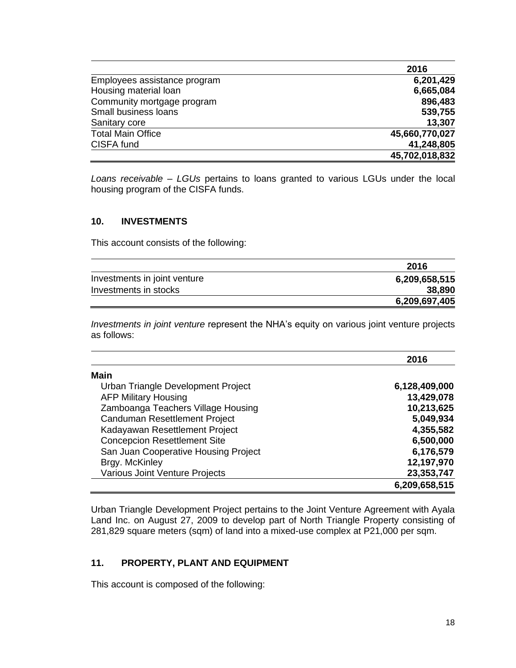|                              | 2016           |
|------------------------------|----------------|
| Employees assistance program | 6,201,429      |
| Housing material loan        | 6,665,084      |
| Community mortgage program   | 896,483        |
| Small business loans         | 539,755        |
| Sanitary core                | 13,307         |
| <b>Total Main Office</b>     | 45,660,770,027 |
| CISFA fund                   | 41,248,805     |
|                              | 45,702,018,832 |

*Loans receivable – LGUs* pertains to loans granted to various LGUs under the local housing program of the CISFA funds.

#### **10. INVESTMENTS**

This account consists of the following:

|                              | 2016          |
|------------------------------|---------------|
| Investments in joint venture | 6,209,658,515 |
| Investments in stocks        | 38,890        |
|                              | 6,209,697,405 |

*Investments in joint venture* represent the NHA's equity on various joint venture projects as follows:

|                                      | 2016          |
|--------------------------------------|---------------|
| <b>Main</b>                          |               |
| Urban Triangle Development Project   | 6,128,409,000 |
| <b>AFP Military Housing</b>          | 13,429,078    |
| Zamboanga Teachers Village Housing   | 10,213,625    |
| Canduman Resettlement Project        | 5,049,934     |
| Kadayawan Resettlement Project       | 4,355,582     |
| <b>Concepcion Resettlement Site</b>  | 6,500,000     |
| San Juan Cooperative Housing Project | 6,176,579     |
| Brgy. McKinley                       | 12,197,970    |
| Various Joint Venture Projects       | 23,353,747    |
|                                      | 6,209,658,515 |

Urban Triangle Development Project pertains to the Joint Venture Agreement with Ayala Land Inc. on August 27, 2009 to develop part of North Triangle Property consisting of 281,829 square meters (sqm) of land into a mixed-use complex at P21,000 per sqm.

## **11. PROPERTY, PLANT AND EQUIPMENT**

This account is composed of the following: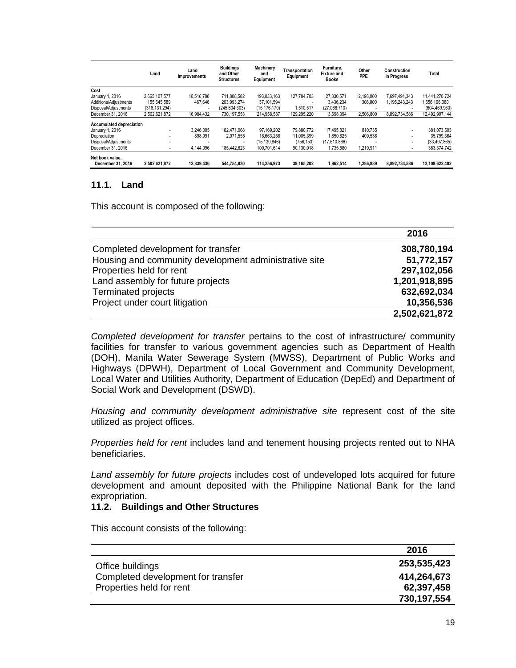|                                      | Land          | Land<br><b>Improvements</b> | <b>Buildings</b><br>and Other<br><b>Structures</b> | Machinery<br>and<br>Equipment | Transportation<br>Equipment | Furniture,<br><b>Fixture and</b><br><b>Books</b> | Other<br>PPE | Construction<br>in Progress | Total           |
|--------------------------------------|---------------|-----------------------------|----------------------------------------------------|-------------------------------|-----------------------------|--------------------------------------------------|--------------|-----------------------------|-----------------|
| Cost                                 |               |                             |                                                    |                               |                             |                                                  |              |                             |                 |
| January 1, 2016                      | 2.665.107.577 | 16.516.786                  | 711.808.582                                        | 193.033.163                   | 127.784.703                 | 27.330.571                                       | 2.198.000    | 7.697.491.343               | 11.441.270.724  |
| Additions/Adiustments                | 155.645.589   | 467.646                     | 263.993.274                                        | 37.101.594                    |                             | 3.436.234                                        | 308,800      | 1.195.243.243               | 1.656.196.380   |
| Disposal/Adjustments                 | (318.131.294) | $\overline{\phantom{a}}$    | (245.604.303)                                      | (15.176.170)                  | 1.510.517                   | (27.068.710)                                     |              | ۰                           | (604, 469, 960) |
| December 31, 2016                    | 2.502.621.872 | 16,984,432                  | 730.197.553                                        | 214.958.587                   | 129.295.220                 | 3.698.094                                        | 2.506.800    | 8.892.734.586               | 12,492,997,144  |
| <b>Accumulated depreciation</b>      |               |                             |                                                    |                               |                             |                                                  |              |                             |                 |
| January 1, 2016                      | ۰             | 3.246.005                   | 182.471.068                                        | 97.169.202                    | 79.880.772                  | 17.495.821                                       | 810.735      | ۰                           | 381.073.603     |
| Depreciation                         | ۰             | 898.991                     | 2.971.555                                          | 18.663.258                    | 11.005.399                  | 1.850.625                                        | 409.536      | ۰                           | 35.799.364      |
| Disposal/Adjustments                 |               |                             |                                                    | (15.130.846)                  | (756, 153)                  | (17,610,866)                                     |              | ۰                           | (33, 497, 865)  |
| December 31, 2016                    | ۰             | 4.144.996                   | 185.442.623                                        | 100.701.614                   | 90.130.018                  | 1.735.580                                        | 1.219.911    | ۰                           | 383.374.742     |
| Net book value.<br>December 31, 2016 | 2,502,621,872 | 12,839,436                  | 544,754,930                                        | 114,256,973                   | 39,165,202                  | 1,962,514                                        | ,286,889     | 8,892,734,586               | 12,109,622,402  |
|                                      |               |                             |                                                    |                               |                             |                                                  |              |                             |                 |

#### **11.1. Land**

This account is composed of the following:

|                                                       | 2016          |
|-------------------------------------------------------|---------------|
| Completed development for transfer                    | 308,780,194   |
| Housing and community development administrative site | 51,772,157    |
| Properties held for rent                              | 297,102,056   |
| Land assembly for future projects                     | 1,201,918,895 |
| Terminated projects                                   | 632,692,034   |
| Project under court litigation                        | 10,356,536    |
|                                                       | 2,502,621,872 |

*Completed development for transfer* pertains to the cost of infrastructure/ community facilities for transfer to various government agencies such as Department of Health (DOH), Manila Water Sewerage System (MWSS), Department of Public Works and Highways (DPWH), Department of Local Government and Community Development, Local Water and Utilities Authority, Department of Education (DepEd) and Department of Social Work and Development (DSWD).

*Housing and community development administrative site* represent cost of the site utilized as project offices.

*Properties held for rent* includes land and tenement housing projects rented out to NHA beneficiaries.

*Land assembly for future projects* includes cost of undeveloped lots acquired for future development and amount deposited with the Philippine National Bank for the land expropriation.

#### **11.2. Buildings and Other Structures**

This account consists of the following:

|                                    | 2016        |
|------------------------------------|-------------|
| Office buildings                   | 253,535,423 |
| Completed development for transfer | 414,264,673 |
| Properties held for rent           | 62,397,458  |
|                                    | 730,197,554 |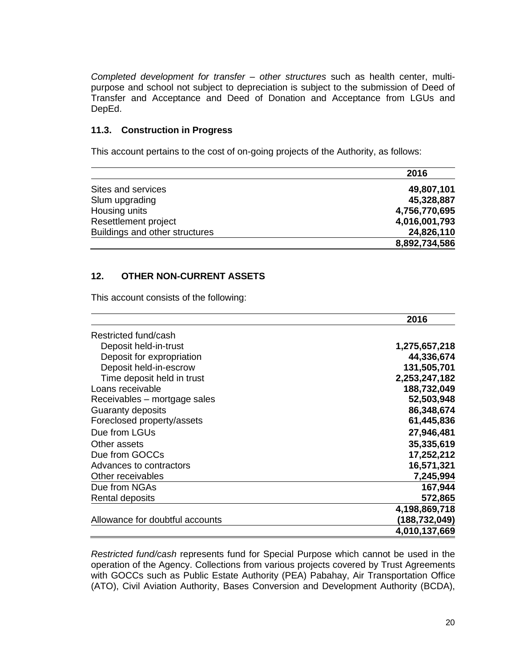*Completed development for transfer – other structures* such as health center, multipurpose and school not subject to depreciation is subject to the submission of Deed of Transfer and Acceptance and Deed of Donation and Acceptance from LGUs and DepEd.

#### **11.3. Construction in Progress**

This account pertains to the cost of on-going projects of the Authority, as follows:

|                                | 2016          |
|--------------------------------|---------------|
| Sites and services             | 49,807,101    |
| Slum upgrading                 | 45,328,887    |
| Housing units                  | 4,756,770,695 |
| Resettlement project           | 4,016,001,793 |
| Buildings and other structures | 24,826,110    |
|                                | 8,892,734,586 |

# **12. OTHER NON-CURRENT ASSETS**

This account consists of the following:

|                                 | 2016          |
|---------------------------------|---------------|
| Restricted fund/cash            |               |
| Deposit held-in-trust           | 1,275,657,218 |
| Deposit for expropriation       | 44,336,674    |
| Deposit held-in-escrow          | 131,505,701   |
| Time deposit held in trust      | 2,253,247,182 |
| Loans receivable                | 188,732,049   |
| Receivables – mortgage sales    | 52,503,948    |
| Guaranty deposits               | 86,348,674    |
| Foreclosed property/assets      | 61,445,836    |
| Due from LGUs                   | 27,946,481    |
| Other assets                    | 35,335,619    |
| Due from GOCCs                  | 17,252,212    |
| Advances to contractors         | 16,571,321    |
| Other receivables               | 7,245,994     |
| Due from NGAs                   | 167,944       |
| Rental deposits                 | 572,865       |
|                                 | 4,198,869,718 |
| Allowance for doubtful accounts | (188,732,049) |
|                                 | 4,010,137,669 |

*Restricted fund/cash* represents fund for Special Purpose which cannot be used in the operation of the Agency. Collections from various projects covered by Trust Agreements with GOCCs such as Public Estate Authority (PEA) Pabahay, Air Transportation Office (ATO), Civil Aviation Authority, Bases Conversion and Development Authority (BCDA),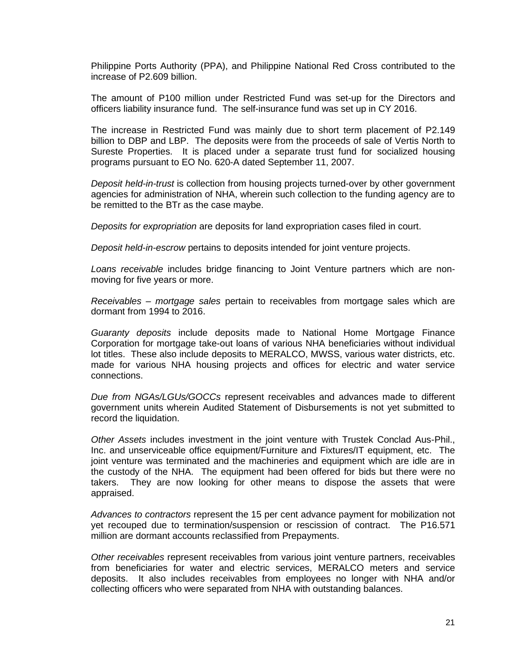Philippine Ports Authority (PPA), and Philippine National Red Cross contributed to the increase of P2.609 billion.

The amount of P100 million under Restricted Fund was set-up for the Directors and officers liability insurance fund. The self-insurance fund was set up in CY 2016.

The increase in Restricted Fund was mainly due to short term placement of P2.149 billion to DBP and LBP. The deposits were from the proceeds of sale of Vertis North to Sureste Properties. It is placed under a separate trust fund for socialized housing programs pursuant to EO No. 620-A dated September 11, 2007.

*Deposit held-in-trust* is collection from housing projects turned-over by other government agencies for administration of NHA, wherein such collection to the funding agency are to be remitted to the BTr as the case maybe.

*Deposits for expropriation* are deposits for land expropriation cases filed in court.

*Deposit held-in-escrow* pertains to deposits intended for joint venture projects.

*Loans receivable* includes bridge financing to Joint Venture partners which are nonmoving for five years or more.

*Receivables – mortgage sales* pertain to receivables from mortgage sales which are dormant from 1994 to 2016.

*Guaranty deposits* include deposits made to National Home Mortgage Finance Corporation for mortgage take-out loans of various NHA beneficiaries without individual lot titles. These also include deposits to MERALCO, MWSS, various water districts, etc. made for various NHA housing projects and offices for electric and water service connections.

*Due from NGAs/LGUs/GOCCs* represent receivables and advances made to different government units wherein Audited Statement of Disbursements is not yet submitted to record the liquidation.

*Other Assets* includes investment in the joint venture with Trustek Conclad Aus-Phil., Inc. and unserviceable office equipment/Furniture and Fixtures/IT equipment, etc. The joint venture was terminated and the machineries and equipment which are idle are in the custody of the NHA. The equipment had been offered for bids but there were no takers. They are now looking for other means to dispose the assets that were appraised.

*Advances to contractors* represent the 15 per cent advance payment for mobilization not yet recouped due to termination/suspension or rescission of contract. The P16.571 million are dormant accounts reclassified from Prepayments.

*Other receivables* represent receivables from various joint venture partners, receivables from beneficiaries for water and electric services, MERALCO meters and service deposits. It also includes receivables from employees no longer with NHA and/or collecting officers who were separated from NHA with outstanding balances.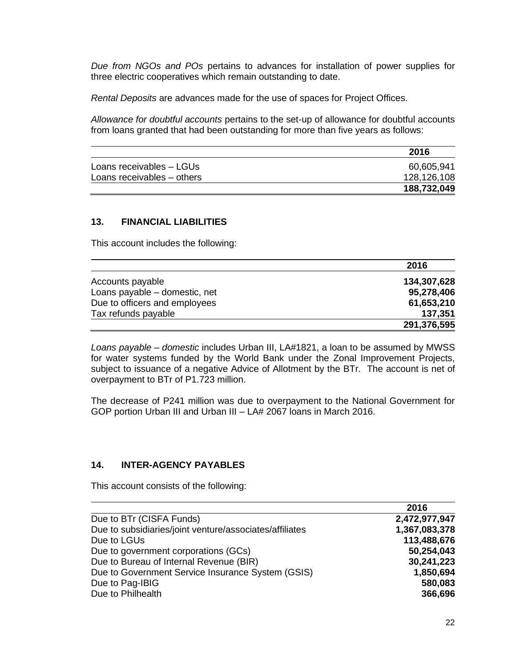*Due from NGOs and POs* pertains to advances for installation of power supplies for three electric cooperatives which remain outstanding to date.

*Rental Deposits* are advances made for the use of spaces for Project Offices.

*Allowance for doubtful accounts* pertains to the set-up of allowance for doubtful accounts from loans granted that had been outstanding for more than five years as follows:

|                            | 2016        |
|----------------------------|-------------|
| Loans receivables - LGUs   | 60,605,941  |
| Loans receivables - others | 128,126,108 |
|                            | 188,732,049 |

#### **13. FINANCIAL LIABILITIES**

This account includes the following:

|                               | 2016        |
|-------------------------------|-------------|
| Accounts payable              | 134,307,628 |
| Loans payable – domestic, net | 95,278,406  |
| Due to officers and employees | 61,653,210  |
| Tax refunds payable           | 137,351     |
|                               | 291,376,595 |

*Loans payable – domestic* includes Urban III, LA#1821, a loan to be assumed by MWSS for water systems funded by the World Bank under the Zonal Improvement Projects, subject to issuance of a negative Advice of Allotment by the BTr. The account is net of overpayment to BTr of P1.723 million.

The decrease of P241 million was due to overpayment to the National Government for GOP portion Urban III and Urban III – LA# 2067 loans in March 2016.

## **14. INTER-AGENCY PAYABLES**

This account consists of the following:

|                                                         | 2016          |
|---------------------------------------------------------|---------------|
| Due to BTr (CISFA Funds)                                | 2,472,977,947 |
| Due to subsidiaries/joint venture/associates/affiliates | 1,367,083,378 |
| Due to LGUs                                             | 113,488,676   |
| Due to government corporations (GCs)                    | 50,254,043    |
| Due to Bureau of Internal Revenue (BIR)                 | 30,241,223    |
| Due to Government Service Insurance System (GSIS)       | 1,850,694     |
| Due to Pag-IBIG                                         | 580,083       |
| Due to Philhealth                                       | 366,696       |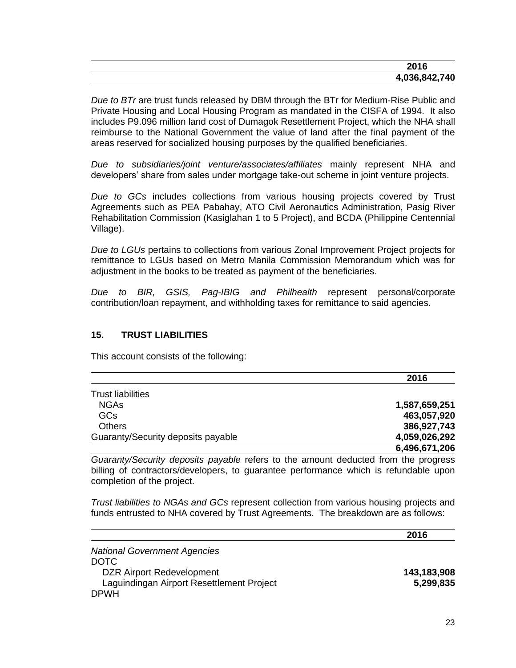| 2016          |
|---------------|
| 4,036,842,740 |

*Due to BTr* are trust funds released by DBM through the BTr for Medium-Rise Public and Private Housing and Local Housing Program as mandated in the CISFA of 1994. It also includes P9.096 million land cost of Dumagok Resettlement Project, which the NHA shall reimburse to the National Government the value of land after the final payment of the areas reserved for socialized housing purposes by the qualified beneficiaries.

*Due to subsidiaries/joint venture/associates/affiliates* mainly represent NHA and developers' share from sales under mortgage take-out scheme in joint venture projects.

*Due to GCs* includes collections from various housing projects covered by Trust Agreements such as PEA Pabahay, ATO Civil Aeronautics Administration, Pasig River Rehabilitation Commission (Kasiglahan 1 to 5 Project), and BCDA (Philippine Centennial Village).

*Due to LGUs* pertains to collections from various Zonal Improvement Project projects for remittance to LGUs based on Metro Manila Commission Memorandum which was for adjustment in the books to be treated as payment of the beneficiaries.

*Due to BIR, GSIS, Pag-IBIG and Philhealth* represent personal/corporate contribution/loan repayment, and withholding taxes for remittance to said agencies.

## **15. TRUST LIABILITIES**

This account consists of the following:

|                                    | 2016          |
|------------------------------------|---------------|
| <b>Trust liabilities</b>           |               |
| <b>NGAs</b>                        | 1,587,659,251 |
| <b>GCs</b>                         | 463,057,920   |
| <b>Others</b>                      | 386,927,743   |
| Guaranty/Security deposits payable | 4,059,026,292 |
|                                    | 6,496,671,206 |

*Guaranty/Security deposits payable* refers to the amount deducted from the progress billing of contractors/developers, to guarantee performance which is refundable upon completion of the project.

*Trust liabilities to NGAs and GCs* represent collection from various housing projects and funds entrusted to NHA covered by Trust Agreements. The breakdown are as follows:

|                                           | 2016        |
|-------------------------------------------|-------------|
| <b>National Government Agencies</b>       |             |
| DOTC                                      |             |
| <b>DZR Airport Redevelopment</b>          | 143,183,908 |
| Laguindingan Airport Resettlement Project | 5,299,835   |
| <b>DPWH</b>                               |             |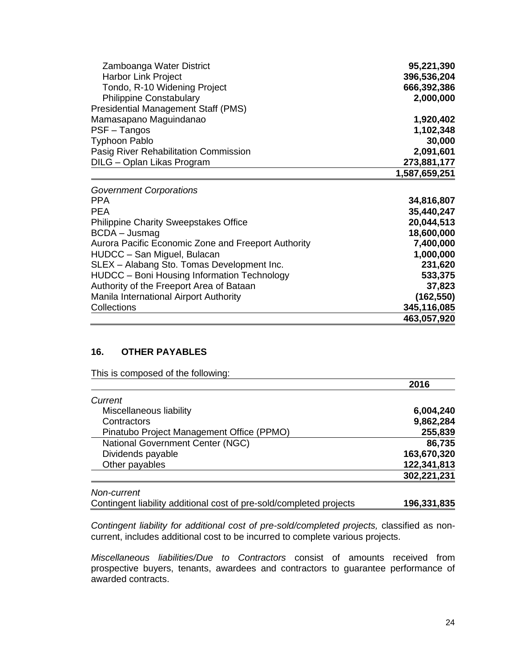| Zamboanga Water District                            | 95,221,390    |
|-----------------------------------------------------|---------------|
| <b>Harbor Link Project</b>                          | 396,536,204   |
| Tondo, R-10 Widening Project                        | 666,392,386   |
| <b>Philippine Constabulary</b>                      | 2,000,000     |
| <b>Presidential Management Staff (PMS)</b>          |               |
| Mamasapano Maguindanao                              | 1,920,402     |
| PSF - Tangos                                        | 1,102,348     |
| <b>Typhoon Pablo</b>                                | 30,000        |
| Pasig River Rehabilitation Commission               | 2,091,601     |
| DILG - Oplan Likas Program                          | 273,881,177   |
|                                                     | 1,587,659,251 |
| <b>Government Corporations</b>                      |               |
| PPA                                                 | 34,816,807    |
| <b>PEA</b>                                          | 35,440,247    |
| <b>Philippine Charity Sweepstakes Office</b>        | 20,044,513    |
| BCDA - Jusmag                                       | 18,600,000    |
| Aurora Pacific Economic Zone and Freeport Authority | 7,400,000     |
| HUDCC - San Miguel, Bulacan                         | 1,000,000     |
| SLEX - Alabang Sto. Tomas Development Inc.          | 231,620       |
| HUDCC - Boni Housing Information Technology         | 533,375       |
| Authority of the Freeport Area of Bataan            | 37,823        |
| Manila International Airport Authority              | (162, 550)    |
| Collections                                         | 345,116,085   |
|                                                     | 463,057,920   |

# **16. OTHER PAYABLES**

This is composed of the following:

|                                           | 2016        |
|-------------------------------------------|-------------|
| Current                                   |             |
| Miscellaneous liability                   | 6,004,240   |
| Contractors                               | 9,862,284   |
| Pinatubo Project Management Office (PPMO) | 255,839     |
| National Government Center (NGC)          | 86,735      |
| Dividends payable                         | 163,670,320 |
| Other payables                            | 122,341,813 |
|                                           | 302,221,231 |

*Non-current*

Contingent liability additional cost of pre-sold/completed projects **196,331,835**

*Contingent liability for additional cost of pre-sold/completed projects,* classified as noncurrent, includes additional cost to be incurred to complete various projects.

*Miscellaneous liabilities/Due to Contractors* consist of amounts received from prospective buyers, tenants, awardees and contractors to guarantee performance of awarded contracts.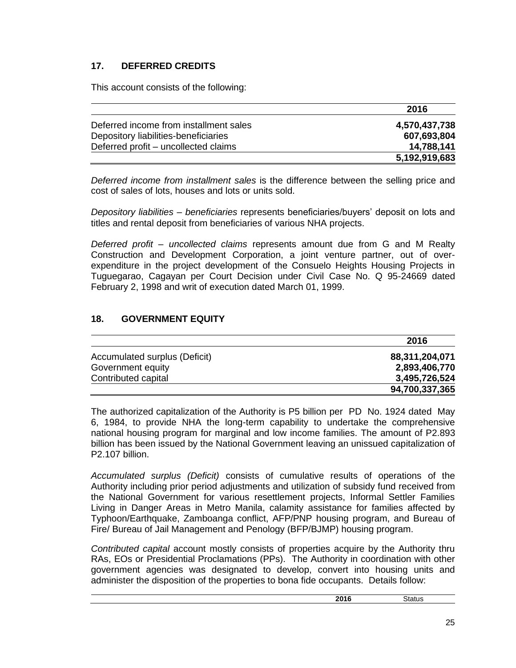# **17. DEFERRED CREDITS**

This account consists of the following:

|                                        | 2016          |
|----------------------------------------|---------------|
| Deferred income from installment sales | 4,570,437,738 |
| Depository liabilities-beneficiaries   | 607,693,804   |
| Deferred profit – uncollected claims   | 14,788,141    |
|                                        | 5,192,919,683 |

*Deferred income from installment sales* is the difference between the selling price and cost of sales of lots, houses and lots or units sold.

*Depository liabilities – beneficiaries* represents beneficiaries/buyers' deposit on lots and titles and rental deposit from beneficiaries of various NHA projects.

*Deferred profit – uncollected claims* represents amount due from G and M Realty Construction and Development Corporation, a joint venture partner, out of overexpenditure in the project development of the Consuelo Heights Housing Projects in Tuguegarao, Cagayan per Court Decision under Civil Case No. Q 95-24669 dated February 2, 1998 and writ of execution dated March 01, 1999.

# **18. GOVERNMENT EQUITY**

|                               | 2016           |
|-------------------------------|----------------|
| Accumulated surplus (Deficit) | 88,311,204,071 |
| Government equity             | 2,893,406,770  |
| Contributed capital           | 3,495,726,524  |
|                               | 94,700,337,365 |

The authorized capitalization of the Authority is P5 billion per PD No. 1924 dated May 6, 1984, to provide NHA the long-term capability to undertake the comprehensive national housing program for marginal and low income families. The amount of P2.893 billion has been issued by the National Government leaving an unissued capitalization of P2.107 billion.

*Accumulated surplus (Deficit)* consists of cumulative results of operations of the Authority including prior period adjustments and utilization of subsidy fund received from the National Government for various resettlement projects, Informal Settler Families Living in Danger Areas in Metro Manila, calamity assistance for families affected by Typhoon/Earthquake, Zamboanga conflict, AFP/PNP housing program, and Bureau of Fire/ Bureau of Jail Management and Penology (BFP/BJMP) housing program.

*Contributed capital* account mostly consists of properties acquire by the Authority thru RAs, EOs or Presidential Proclamations (PPs). The Authority in coordination with other government agencies was designated to develop, convert into housing units and administer the disposition of the properties to bona fide occupants. Details follow:

| 2016 | Status |
|------|--------|
|      |        |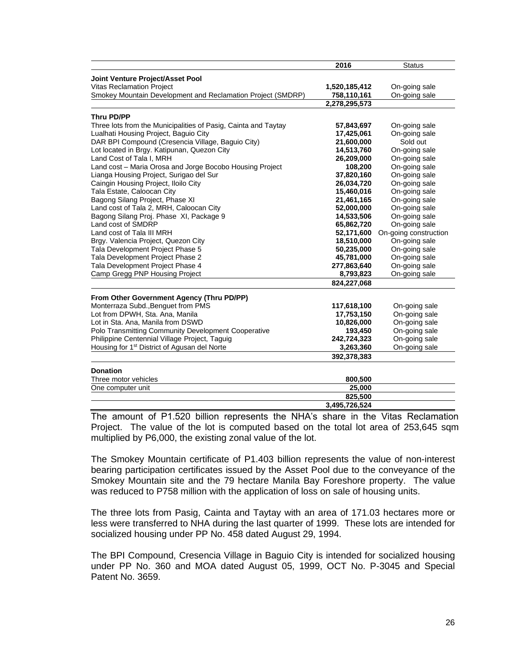|                                                                | 2016          | <b>Status</b>         |
|----------------------------------------------------------------|---------------|-----------------------|
| Joint Venture Project/Asset Pool                               |               |                       |
| <b>Vitas Reclamation Project</b>                               | 1,520,185,412 | On-going sale         |
| Smokey Mountain Development and Reclamation Project (SMDRP)    | 758,110,161   | On-going sale         |
|                                                                | 2,278,295,573 |                       |
| <b>Thru PD/PP</b>                                              |               |                       |
| Three lots from the Municipalities of Pasig, Cainta and Taytay | 57,843,697    | On-going sale         |
| Lualhati Housing Project, Baguio City                          | 17,425,061    | On-going sale         |
| DAR BPI Compound (Cresencia Village, Baguio City)              | 21,600,000    | Sold out              |
| Lot located in Brgy. Katipunan, Quezon City                    | 14,513,760    | On-going sale         |
| Land Cost of Tala I, MRH                                       | 26,209,000    | On-going sale         |
|                                                                | 108,200       |                       |
| Land cost - Maria Orosa and Jorge Bocobo Housing Project       |               | On-going sale         |
| Lianga Housing Project, Surigao del Sur                        | 37,820,160    | On-going sale         |
| Caingin Housing Project, Iloilo City                           | 26,034,720    | On-going sale         |
| Tala Estate, Caloocan City                                     | 15,460,016    | On-going sale         |
| Bagong Silang Project, Phase XI                                | 21,461,165    | On-going sale         |
| Land cost of Tala 2, MRH, Caloocan City                        | 52,000,000    | On-going sale         |
| Bagong Silang Proj. Phase XI, Package 9                        | 14,533,506    | On-going sale         |
| Land cost of SMDRP                                             | 65,862,720    | On-going sale         |
| Land cost of Tala III MRH                                      | 52,171,600    | On-going construction |
| Brgy. Valencia Project, Quezon City                            | 18,510,000    | On-going sale         |
| Tala Development Project Phase 5                               | 50,235,000    | On-going sale         |
| Tala Development Project Phase 2                               | 45,781,000    | On-going sale         |
| Tala Development Project Phase 4                               | 277,863,640   | On-going sale         |
| Camp Gregg PNP Housing Project                                 | 8,793,823     | On-going sale         |
|                                                                | 824,227,068   |                       |
| From Other Government Agency (Thru PD/PP)                      |               |                       |
| Monterraza Subd., Benguet from PMS                             | 117,618,100   | On-going sale         |
| Lot from DPWH, Sta. Ana, Manila                                | 17,753,150    | On-going sale         |
| Lot in Sta. Ana, Manila from DSWD                              | 10,826,000    | On-going sale         |
| Polo Transmitting Community Development Cooperative            | 193,450       | On-going sale         |
| Philippine Centennial Village Project, Taguig                  | 242,724,323   | On-going sale         |
| Housing for 1 <sup>st</sup> District of Agusan del Norte       | 3,263,360     | On-going sale         |
|                                                                | 392,378,383   |                       |
|                                                                |               |                       |
| <b>Donation</b>                                                |               |                       |
| Three motor vehicles                                           | 800,500       |                       |
| One computer unit                                              | 25,000        |                       |
|                                                                | 825,500       |                       |
|                                                                | 3,495,726,524 |                       |

The amount of P1.520 billion represents the NHA's share in the Vitas Reclamation Project. The value of the lot is computed based on the total lot area of 253,645 sqm multiplied by P6,000, the existing zonal value of the lot.

The Smokey Mountain certificate of P1.403 billion represents the value of non-interest bearing participation certificates issued by the Asset Pool due to the conveyance of the Smokey Mountain site and the 79 hectare Manila Bay Foreshore property. The value was reduced to P758 million with the application of loss on sale of housing units.

The three lots from Pasig, Cainta and Taytay with an area of 171.03 hectares more or less were transferred to NHA during the last quarter of 1999. These lots are intended for socialized housing under PP No. 458 dated August 29, 1994.

The BPI Compound, Cresencia Village in Baguio City is intended for socialized housing under PP No. 360 and MOA dated August 05, 1999, OCT No. P-3045 and Special Patent No. 3659.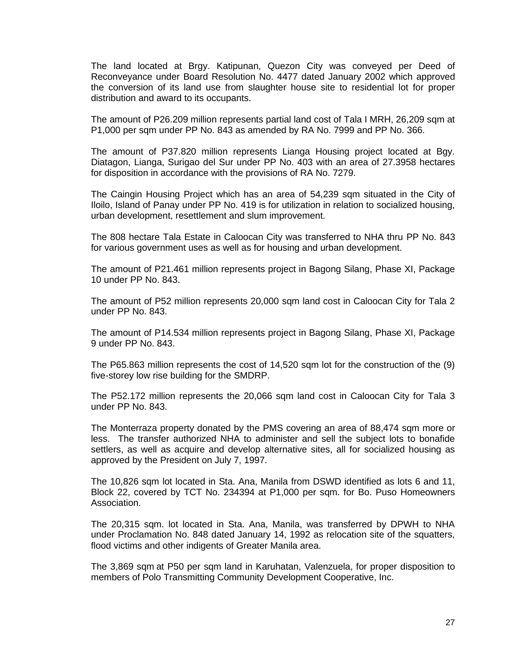The land located at Brgy. Katipunan, Quezon City was conveyed per Deed of Reconveyance under Board Resolution No. 4477 dated January 2002 which approved the conversion of its land use from slaughter house site to residential lot for proper distribution and award to its occupants.

The amount of P26.209 million represents partial land cost of Tala I MRH, 26,209 sqm at P1,000 per sqm under PP No. 843 as amended by RA No. 7999 and PP No. 366.

The amount of P37.820 million represents Lianga Housing project located at Bgy. Diatagon, Lianga, Surigao del Sur under PP No. 403 with an area of 27.3958 hectares for disposition in accordance with the provisions of RA No. 7279.

The Caingin Housing Project which has an area of 54,239 sqm situated in the City of Iloilo, Island of Panay under PP No. 419 is for utilization in relation to socialized housing, urban development, resettlement and slum improvement.

The 808 hectare Tala Estate in Caloocan City was transferred to NHA thru PP No. 843 for various government uses as well as for housing and urban development.

The amount of P21.461 million represents project in Bagong Silang, Phase XI, Package 10 under PP No. 843.

The amount of P52 million represents 20,000 sqm land cost in Caloocan City for Tala 2 under PP No. 843.

The amount of P14.534 million represents project in Bagong Silang, Phase XI, Package 9 under PP No. 843.

The P65.863 million represents the cost of 14,520 sqm lot for the construction of the (9) five-storey low rise building for the SMDRP.

The P52.172 million represents the 20,066 sqm land cost in Caloocan City for Tala 3 under PP No. 843.

The Monterraza property donated by the PMS covering an area of 88,474 sqm more or less. The transfer authorized NHA to administer and sell the subject lots to bonafide settlers, as well as acquire and develop alternative sites, all for socialized housing as approved by the President on July 7, 1997.

The 10,826 sqm lot located in Sta. Ana, Manila from DSWD identified as lots 6 and 11, Block 22, covered by TCT No. 234394 at P1,000 per sqm. for Bo. Puso Homeowners Association.

The 20,315 sqm. lot located in Sta. Ana, Manila, was transferred by DPWH to NHA under Proclamation No. 848 dated January 14, 1992 as relocation site of the squatters, flood victims and other indigents of Greater Manila area.

The 3,869 sqm at P50 per sqm land in Karuhatan, Valenzuela, for proper disposition to members of Polo Transmitting Community Development Cooperative, Inc.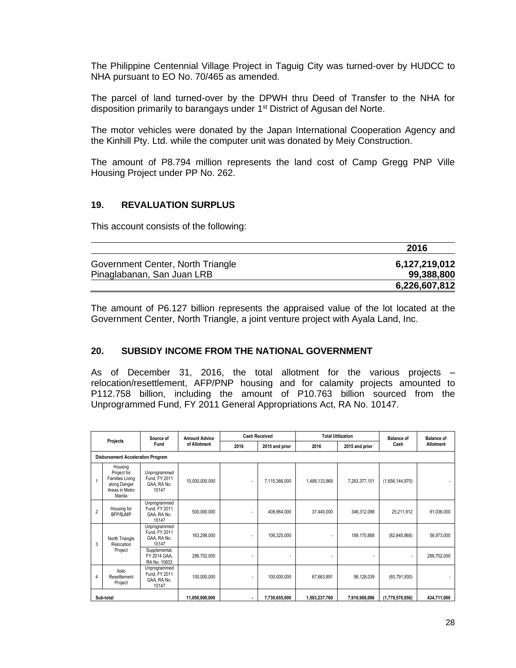The Philippine Centennial Village Project in Taguig City was turned-over by HUDCC to NHA pursuant to EO No. 70/465 as amended.

The parcel of land turned-over by the DPWH thru Deed of Transfer to the NHA for disposition primarily to barangays under 1<sup>st</sup> District of Agusan del Norte.

The motor vehicles were donated by the Japan International Cooperation Agency and the Kinhill Pty. Ltd. while the computer unit was donated by Meiy Construction.

The amount of P8.794 million represents the land cost of Camp Gregg PNP Ville Housing Project under PP No. 262.

#### **19. REVALUATION SURPLUS**

This account consists of the following:

|                                   | 2016          |
|-----------------------------------|---------------|
| Government Center, North Triangle | 6,127,219,012 |
| Pinaglabanan, San Juan LRB        | 99,388,800    |
|                                   | 6,226,607,812 |

The amount of P6.127 billion represents the appraised value of the lot located at the Government Center, North Triangle, a joint venture project with Ayala Land, Inc.

#### **20. SUBSIDY INCOME FROM THE NATIONAL GOVERNMENT**

As of December 31, 2016, the total allotment for the various projects – relocation/resettlement, AFP/PNP housing and for calamity projects amounted to P112.758 billion, including the amount of P10.763 billion sourced from the Unprogrammed Fund, FY 2011 General Appropriations Act, RA No. 10147.

|                |                                                                                              | Source of                                             | <b>Amount Advice</b> |      | <b>Cash Received</b><br><b>Total Utilization</b> |               | <b>Balance of</b> |                 | <b>Balance of</b> |
|----------------|----------------------------------------------------------------------------------------------|-------------------------------------------------------|----------------------|------|--------------------------------------------------|---------------|-------------------|-----------------|-------------------|
|                | Projects                                                                                     | Fund                                                  | of Allotment         | 2016 | 2015 and prior                                   | 2016          | 2015 and prior    | Cash            | Allotment         |
|                | <b>Disbursement Acceleration Program</b>                                                     |                                                       |                      |      |                                                  |               |                   |                 |                   |
| $\overline{1}$ | Housing<br>Project for<br><b>Families Living</b><br>along Danger<br>Areas in Metro<br>Manila | Unprogrammed<br>Fund, FY 2011<br>GAA, RA No.<br>10147 | 10,000,000,000       |      | 7,115,366,000                                    | 1,488,133,869 | 7,283,377,101     | (1,656,144,970) |                   |
| $\overline{2}$ | Housing for<br><b>BFP/BJMP</b>                                                               | Unprogrammed<br>Fund, FY 2011<br>GAA, RA No.<br>10147 | 500,000,000          |      | 408,964,000                                      | 37,440,000    | 346,312,088       | 25,211,912      | 91,036,000        |
| 3              | North Triangle<br>Relocation                                                                 | Unprogrammed<br>Fund, FY 2011<br>GAA, RA No.<br>10147 | 163,298,000          |      | 106,325,000                                      |               | 189,170,868       | (82, 845, 868)  | 56,973,000        |
|                | Project                                                                                      | Supplemental,<br>FY 2014 GAA.<br>RA No. 10633         | 286,702,000          |      |                                                  |               | ٠                 | ٠               | 286,702,000       |
| 4              | <b>Iloilo</b><br>Resettlement<br>Project                                                     | Unprogrammed<br>Fund, FY 2011<br>GAA, RA No.<br>10147 | 100,000,000          |      | 100,000,000                                      | 67,663,891    | 98,128,039        | (65,791,930)    |                   |
|                | Sub-total                                                                                    |                                                       | 11,050,000,000       |      | 7,730,655,000                                    | 1,593,237,760 | 7,916,988,096     | (1,779,570,856) | 434,711,000       |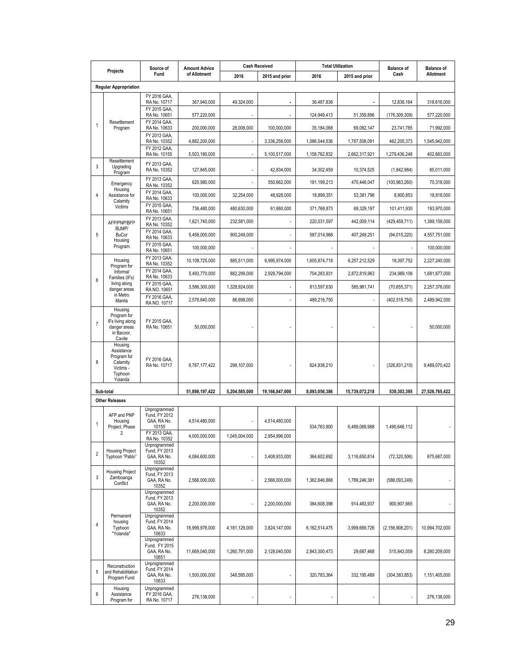|                |                                                                                     | Source of                                             | <b>Amount Advice</b> | <b>Cash Received</b><br><b>Total Utilization</b> |                | <b>Balance of</b> | <b>Balance of</b> |                    |                |
|----------------|-------------------------------------------------------------------------------------|-------------------------------------------------------|----------------------|--------------------------------------------------|----------------|-------------------|-------------------|--------------------|----------------|
|                | Projects                                                                            | Fund                                                  | of Allotment         | 2016                                             | 2015 and prior | 2016              | 2015 and prior    | Cash               | Allotment      |
|                | <b>Regular Appropriation</b>                                                        |                                                       |                      |                                                  |                |                   |                   |                    |                |
|                |                                                                                     | FY 2016 GAA,<br>RA No. 10717                          | 367,940,000          | 49,324,000                                       |                | 36,487,836        |                   | 12,836,164         | 318,616,000    |
|                |                                                                                     | FY 2015 GAA,<br>RA No. 10651                          | 577,220,000          |                                                  |                | 124,949,413       | 51,359,896        | (176,309,309)      | 577,220,000    |
| $\mathbf{1}$   | Resettlement<br>Program                                                             | FY 2014 GAA.<br>RA No. 10633                          | 200,000,000          | 28,008,000                                       | 100,000,000    | 35,184,068        | 69,082,147        | 23,741,785         | 71,992,000     |
|                |                                                                                     | FY 2013 GAA,<br>RA No. 10352                          | 4,882,200,000        | ٠                                                | 3,336,258,000  | 1,086,544,536     | 1,787,508,091     | 462,205,373        | 1,545,942,000  |
|                |                                                                                     | FY 2012 GAA.<br>RA No. 10155                          | 5,503,180,000        |                                                  | 5,100,517,000  | 1,158,762,832     | 2,662,317,921     | 1.279.436.248      | 402,663,000    |
| 3              | Resettlement<br>Upgrading<br>Program                                                | FY 2013 GAA,<br>RA No. 10352                          | 127,845,000          |                                                  | 42,834,000     | 34,302,459        | 10,374,525        | (1,842,984)        | 85,011,000     |
|                | Emergency                                                                           | FY 2013 GAA,<br>RA No. 10352                          | 620,980,000          |                                                  | 550,662,000    | 181,199,213       | 470,446,047       | (100, 983, 260)    | 70,318,000     |
| $\overline{4}$ | Housing<br>Assistance for                                                           | FY 2014 GAA,<br>RA No. 10633                          | 100,000,000          | 32,254,000                                       | 48,928,000     | 18,899,351        | 53,381,796        | 8,900,853          | 18,818,000     |
|                | Calamity<br>Victims                                                                 | FY 2015 GAA,<br>RA No. 10651                          | 736,480,000          | 480,630,000                                      | 61,880,000     | 371,768,873       | 69,329,197        | 101,411,930        | 193,970,000    |
|                | AFP/PNP/BFP                                                                         | FY 2013 GAA,<br>RA No. 10352                          | 1,621,740,000        | 232,581,000                                      |                | 220,031,597       | 442,009,114       | (429, 459, 711)    | 1,389,159,000  |
| 5              | /BJMP/<br><b>BuCor</b><br>Housing                                                   | FY 2014 GAA,<br>RA No. 10633                          | 5,458,000,000        | 900,249,000                                      |                | 587,014,968       | 407,249,251       | (94,015,220)       | 4,557,751,000  |
|                | Program                                                                             | FY 2015 GAA,<br>RA No. 10651                          | 100.000.000          |                                                  |                |                   |                   |                    | 100,000,000    |
|                | Housing<br>Program for                                                              | FY 2013 GAA,<br>RA No. 10352                          | 10,108,725,000       | 885,511,000                                      | 6,995,974,000  | 1,605,874,718     | 6,257,212,529     | 18,397,752         | 2,227,240,000  |
| 6              | Informal<br>Families (IFs)                                                          | FY 2014 GAA,<br>RA No. 10633                          | 5,493,770,000        | 882,299,000                                      | 2,929,794,000  | 704,283,931       | 2,872,819,963     | 234,989,106        | 1,681,677,000  |
|                | living along<br>danger areas                                                        | FY 2015 GAA.<br>RA NO. 10651                          | 3,586,300,000        | 1,328,924,000                                    |                | 813,597,630       | 585,981,741       | (70,655,371)       | 2,257,376,000  |
|                | in Metro<br>Manila                                                                  | FY 2016 GAA,<br>RA NO. 10717                          | 2,576,640,000        | 86,698,000                                       |                | 489,216,750       |                   | (402, 518, 750)    | 2,489,942,000  |
| $\overline{7}$ | Housing<br>Program for<br>IFs living along<br>danger areas<br>in Bacoor,<br>Cavite  | FY 2015 GAA,<br>RA No. 10651                          | 50,000,000           |                                                  |                |                   |                   |                    | 50,000,000     |
| 8              | Housing<br>Assistance<br>Program for<br>Calamity<br>Victims -<br>Typhoon<br>Yolanda | FY 2016 GAA,<br>RA No. 10717                          | 9,787,177,422        | 298,107,000                                      |                | 624,938,210       |                   | (326, 831, 210)    | 9,489,070,422  |
|                | Sub-total                                                                           |                                                       | 51,898,197,422       | 5,204,585,000                                    | 19,166,847,000 | 8,093,056,386     | 15,739,072,218    | 539.303.395        | 27,526,765,422 |
|                | <b>Other Releases</b>                                                               |                                                       |                      |                                                  |                |                   |                   |                    |                |
| $\mathbf{1}$   | AFP and PNP<br>Housing<br>Project, Phase                                            | Unprogrammed<br>Fund, FY 2012<br>GAA, RA No.<br>10155 | 4,514,480,000        |                                                  | 4,514,480,000  | 534,763,900       | 6,489,069,988     | 1,490,646,112      |                |
|                | 2                                                                                   | FY 2013 GAA,<br>RA No. 10352                          | 4,000,000,000        | 1,045,004,000                                    | 2.954.996.000  |                   |                   |                    |                |
| $\overline{2}$ | <b>Housing Project</b><br>Typhoon "Pablo"                                           | Unprogrammed<br>Fund, FY 2013<br>GAA, RA No.<br>10352 | 4,084,600,000        |                                                  | 3,408,933,000  | 364,602,692       | 3,116,650,814     | (72, 320, 506)     | 675,667,000    |
| 3              | <b>Housing Project</b><br>Zamboanga<br>Conflict                                     | Unprogrammed<br>Fund, FY 2013<br>GAA, RA No.<br>10352 | 2,566,000,000        |                                                  | 2,566,000,000  | 1,362,846,868     | 1,789,246,381     | (586,093,249)      |                |
|                |                                                                                     | Unprogrammed<br>Fund, FY 2013<br>GAA, RA No.<br>10352 | 2,200,000,000        |                                                  | 2,200,000,000  | 384,608,398       | 914,483,937       | 900,907,665        |                |
| $\overline{4}$ | Permanent<br>housing<br>Typhoon<br>"Yolanda"                                        | Unprogrammed<br>Fund, FY 2014<br>GAA, RA No.<br>10633 | 18,999,978,000       | 4,181,129,000                                    | 3,824,147,000  | 6,162,514,475     | 3,999,669,726     | (2, 156, 908, 201) | 10,994,702,000 |
|                |                                                                                     | Unprogrammed<br>Fund, FY 2015<br>GAA, RA No.<br>10651 | 11,669,040,000       | 1,260,791,000                                    | 2,128,040,000  | 2,843,300,473     | 29,687,468        | 515,843,059        | 8,280,209,000  |
| 5              | Reconstruction<br>and Rehabilitation<br>Program Fund                                | Unprogrammed<br>Fund, FY 2014<br>GAA, RA No.<br>10633 | 1,500,000,000        | 348,595,000                                      |                | 320,783,364       | 332, 195, 489     | (304, 383, 853)    | 1,151,405,000  |
| 6              | Housing<br>Assistance<br>Program for                                                | Unprogrammed<br>FY 2016 GAA,<br>RA No. 10717          | 276,138,000          |                                                  |                |                   |                   |                    | 276,138,000    |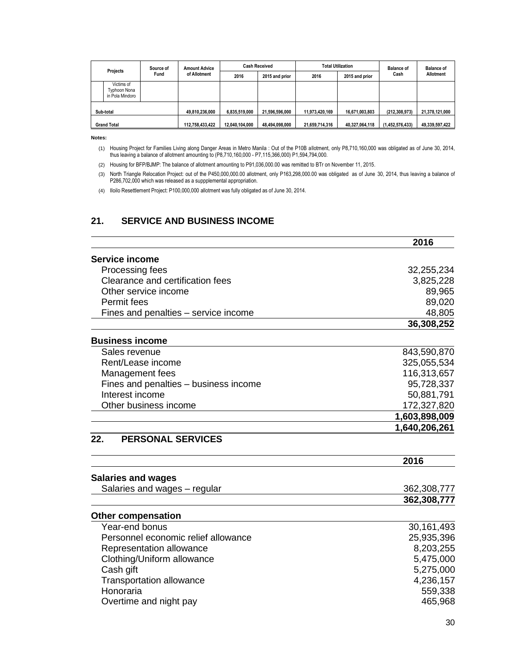| Source of<br>Projects                         |      | <b>Amount Advice</b> | <b>Cash Received</b> |                | <b>Total Utilization</b> |                | <b>Balance of</b> | <b>Balance of</b> |
|-----------------------------------------------|------|----------------------|----------------------|----------------|--------------------------|----------------|-------------------|-------------------|
|                                               | Fund | of Allotment         | 2016                 | 2015 and prior | 2016                     | 2015 and prior | Cash              | <b>Allotment</b>  |
| Victims of<br>Typhoon Nona<br>in Pola Mindoro |      |                      |                      |                |                          |                |                   |                   |
| Sub-total                                     |      | 49.810.236.000       | 6,835,519,000        | 21.596.596.000 | 11,973,420,169           | 16,671,003,803 | (212, 308, 973)   | 21.378.121.000    |
| <b>Grand Total</b>                            |      | 112,758,433,422      | 12,040,104,000       | 48,494,098,000 | 21,659,714,316           | 40,327,064,118 | (1,452,576,433)   | 49,339,597,422    |

**Notes:**

(1) Housing Project for Families Living along Danger Areas in Metro Manila : Out of the P10B allotment, only P8,710,160,000 was obligated as of June 30, 2014, thus leaving a balance of allotment amounting to (P8,710,160,000 - P7,115,366,000) P1,594,794,000.

(2) Housing for BFP/BJMP: The balance of allotment amounting to P91,036,000.00 was remitted to BTr on November 11, 2015.

(3) North Triangle Relocation Project: out of the P450,000,000.00 allotment, only P163,298,000.00 was obligated as of June 30, 2014, thus leaving a balance of P286,702,000 which was released as a suppplemental appropriation.

(4) Iloilo Resettlement Project: P100,000,000 allotment was fully obligated as of June 30, 2014.

# **21. SERVICE AND BUSINESS INCOME**

|                                       | 2016          |
|---------------------------------------|---------------|
| Service income                        |               |
| Processing fees                       | 32,255,234    |
| Clearance and certification fees      | 3,825,228     |
| Other service income                  | 89,965        |
| Permit fees                           | 89,020        |
| Fines and penalties – service income  | 48,805        |
|                                       | 36,308,252    |
| <b>Business income</b>                |               |
| Sales revenue                         | 843,590,870   |
| Rent/Lease income                     | 325,055,534   |
| Management fees                       | 116,313,657   |
| Fines and penalties - business income | 95,728,337    |
| Interest income                       | 50,881,791    |
| Other business income                 | 172,327,820   |
|                                       | 1,603,898,009 |
|                                       | 1,640,206,261 |
| 22.<br><b>PERSONAL SERVICES</b>       |               |
|                                       | 2016          |
| <b>Salaries and wages</b>             |               |
| Salaries and wages - regular          | 362,308,777   |
|                                       | 362,308,777   |
| <b>Other compensation</b>             |               |
| Year-end bonus                        | 30,161,493    |
| Personnel economic relief allowance   | 25,935,396    |
| Representation allowance              | 8,203,255     |
| Clothing/Uniform allowance            | 5,475,000     |
| Cash gift                             | 5,275,000     |
| <b>Transportation allowance</b>       | 4,236,157     |
| Honoraria                             | 559,338       |
| Overtime and night pay                | 465,968       |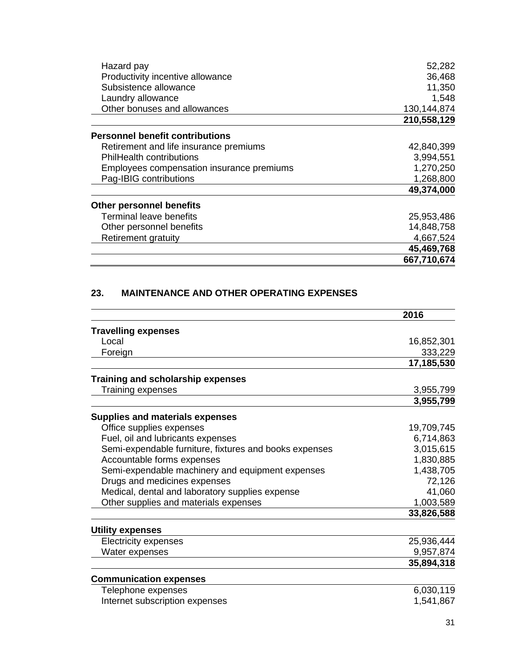| Hazard pay                                | 52,282      |
|-------------------------------------------|-------------|
| Productivity incentive allowance          | 36,468      |
| Subsistence allowance                     | 11,350      |
| Laundry allowance                         | 1,548       |
| Other bonuses and allowances              | 130,144,874 |
|                                           | 210,558,129 |
| <b>Personnel benefit contributions</b>    |             |
| Retirement and life insurance premiums    | 42,840,399  |
| <b>PhilHealth contributions</b>           | 3,994,551   |
| Employees compensation insurance premiums | 1,270,250   |
| Pag-IBIG contributions                    | 1,268,800   |
|                                           | 49,374,000  |
| <b>Other personnel benefits</b>           |             |
| Terminal leave benefits                   | 25,953,486  |
| Other personnel benefits                  | 14,848,758  |
| <b>Retirement gratuity</b>                | 4,667,524   |
|                                           | 45,469,768  |
|                                           | 667,710,674 |

# **23. MAINTENANCE AND OTHER OPERATING EXPENSES**

|                                                        | 2016       |
|--------------------------------------------------------|------------|
| <b>Travelling expenses</b>                             |            |
| Local                                                  | 16,852,301 |
| Foreign                                                | 333,229    |
|                                                        | 17,185,530 |
| Training and scholarship expenses                      |            |
| Training expenses                                      | 3,955,799  |
|                                                        | 3,955,799  |
| <b>Supplies and materials expenses</b>                 |            |
| Office supplies expenses                               | 19,709,745 |
| Fuel, oil and lubricants expenses                      | 6,714,863  |
| Semi-expendable furniture, fixtures and books expenses | 3,015,615  |
| Accountable forms expenses                             | 1,830,885  |
| Semi-expendable machinery and equipment expenses       | 1,438,705  |
| Drugs and medicines expenses                           | 72,126     |
| Medical, dental and laboratory supplies expense        | 41,060     |
| Other supplies and materials expenses                  | 1,003,589  |
|                                                        | 33,826,588 |
| <b>Utility expenses</b>                                |            |
| <b>Electricity expenses</b>                            | 25,936,444 |
| Water expenses                                         | 9,957,874  |
|                                                        | 35,894,318 |
| <b>Communication expenses</b>                          |            |
| Telephone expenses                                     | 6,030,119  |
| Internet subscription expenses                         | 1,541,867  |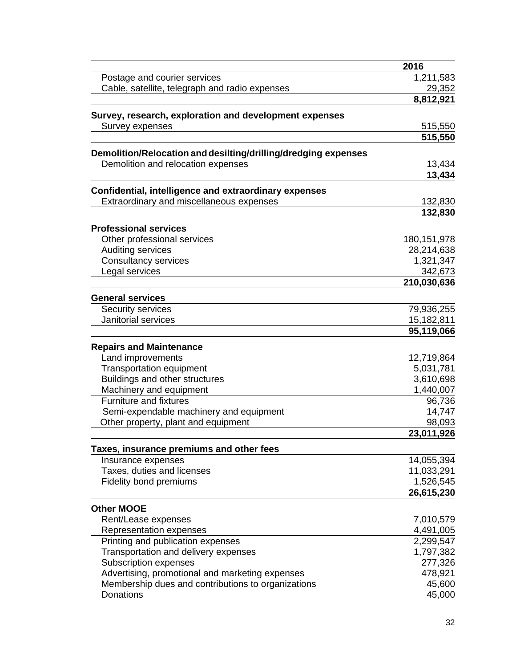|                                                                | 2016               |
|----------------------------------------------------------------|--------------------|
| Postage and courier services                                   | 1,211,583          |
| Cable, satellite, telegraph and radio expenses                 | 29,352             |
|                                                                | 8,812,921          |
| Survey, research, exploration and development expenses         |                    |
| Survey expenses                                                | 515,550            |
|                                                                | 515,550            |
| Demolition/Relocation and desilting/drilling/dredging expenses |                    |
| Demolition and relocation expenses                             | 13,434             |
|                                                                | 13,434             |
|                                                                |                    |
| Confidential, intelligence and extraordinary expenses          |                    |
| Extraordinary and miscellaneous expenses                       | 132,830<br>132,830 |
|                                                                |                    |
| <b>Professional services</b>                                   |                    |
| Other professional services                                    | 180, 151, 978      |
| Auditing services                                              | 28,214,638         |
| Consultancy services                                           | 1,321,347          |
| Legal services                                                 | 342,673            |
|                                                                | 210,030,636        |
| <b>General services</b>                                        |                    |
| Security services                                              | 79,936,255         |
| Janitorial services                                            | 15,182,811         |
|                                                                | 95,119,066         |
| <b>Repairs and Maintenance</b>                                 |                    |
| Land improvements                                              | 12,719,864         |
| Transportation equipment                                       | 5,031,781          |
| Buildings and other structures                                 | 3,610,698          |
| Machinery and equipment                                        | 1,440,007          |
| <b>Furniture and fixtures</b>                                  | 96,736             |
| Semi-expendable machinery and equipment                        | 14,747             |
| Other property, plant and equipment                            | 98,093             |
|                                                                | 23,011,926         |
| Taxes, insurance premiums and other fees                       |                    |
| Insurance expenses                                             | 14,055,394         |
| Taxes, duties and licenses                                     | 11,033,291         |
| Fidelity bond premiums                                         | 1,526,545          |
|                                                                | 26,615,230         |
|                                                                |                    |
| <b>Other MOOE</b><br>Rent/Lease expenses                       | 7,010,579          |
| Representation expenses                                        | 4,491,005          |
| Printing and publication expenses                              | 2,299,547          |
| Transportation and delivery expenses                           | 1,797,382          |
| Subscription expenses                                          | 277,326            |
| Advertising, promotional and marketing expenses                | 478,921            |
| Membership dues and contributions to organizations             | 45,600             |
| Donations                                                      | 45,000             |
|                                                                |                    |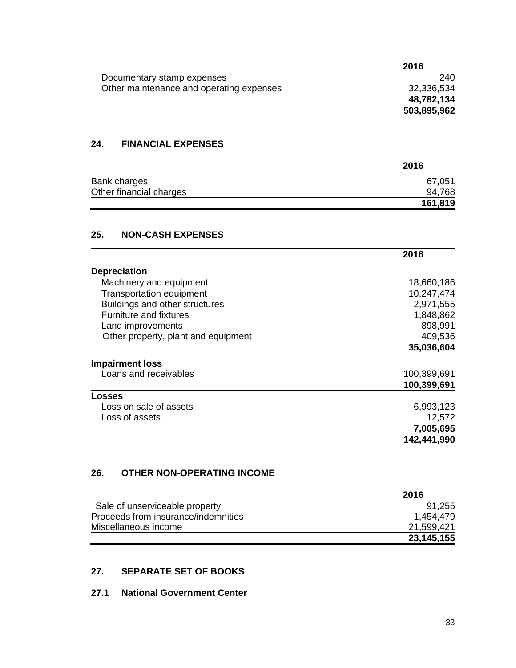| 2016        |
|-------------|
| 240         |
| 32,336,534  |
| 48,782,134  |
| 503,895,962 |
|             |

## **24. FINANCIAL EXPENSES**

|                         | 2016    |
|-------------------------|---------|
| Bank charges            | 67,051  |
| Other financial charges | 94,768  |
|                         | 161,819 |

### **25. NON-CASH EXPENSES**

|                                     | 2016        |
|-------------------------------------|-------------|
| <b>Depreciation</b>                 |             |
| Machinery and equipment             | 18,660,186  |
| <b>Transportation equipment</b>     | 10,247,474  |
| Buildings and other structures      | 2,971,555   |
| <b>Furniture and fixtures</b>       | 1,848,862   |
| Land improvements                   | 898,991     |
| Other property, plant and equipment | 409,536     |
|                                     | 35,036,604  |
| <b>Impairment loss</b>              |             |
| Loans and receivables               | 100,399,691 |
|                                     | 100,399,691 |
| Losses                              |             |
| Loss on sale of assets              | 6,993,123   |
| Loss of assets                      | 12,572      |
|                                     | 7,005,695   |
|                                     | 142,441,990 |

# **26. OTHER NON-OPERATING INCOME**

|                                     | 2016       |
|-------------------------------------|------------|
| Sale of unserviceable property      | 91,255     |
| Proceeds from insurance/indemnities | 1.454.479  |
| Miscellaneous income                | 21,599,421 |
|                                     | 23,145,155 |

# **27. SEPARATE SET OF BOOKS**

### **27.1 National Government Center**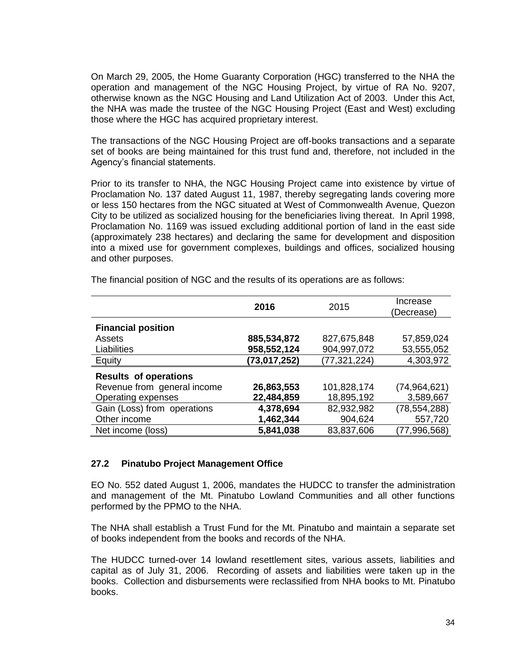On March 29, 2005, the Home Guaranty Corporation (HGC) transferred to the NHA the operation and management of the NGC Housing Project, by virtue of RA No. 9207, otherwise known as the NGC Housing and Land Utilization Act of 2003. Under this Act, the NHA was made the trustee of the NGC Housing Project (East and West) excluding those where the HGC has acquired proprietary interest.

The transactions of the NGC Housing Project are off-books transactions and a separate set of books are being maintained for this trust fund and, therefore, not included in the Agency's financial statements.

Prior to its transfer to NHA, the NGC Housing Project came into existence by virtue of Proclamation No. 137 dated August 11, 1987, thereby segregating lands covering more or less 150 hectares from the NGC situated at West of Commonwealth Avenue, Quezon City to be utilized as socialized housing for the beneficiaries living thereat. In April 1998, Proclamation No. 1169 was issued excluding additional portion of land in the east side (approximately 238 hectares) and declaring the same for development and disposition into a mixed use for government complexes, buildings and offices, socialized housing and other purposes.

|                              | 2016           | 2015           | Increase<br>(Decrease) |
|------------------------------|----------------|----------------|------------------------|
| <b>Financial position</b>    |                |                |                        |
| Assets                       | 885,534,872    | 827,675,848    | 57,859,024             |
| Liabilities                  | 958,552,124    | 904,997,072    | 53,555,052             |
| Equity                       | (73, 017, 252) | (77, 321, 224) | 4,303,972              |
| <b>Results of operations</b> |                |                |                        |
| Revenue from general income  | 26,863,553     | 101,828,174    | (74,964,621)           |
| Operating expenses           | 22,484,859     | 18,895,192     | 3,589,667              |
| Gain (Loss) from operations  | 4,378,694      | 82,932,982     | (78, 554, 288)         |
| Other income                 | 1,462,344      | 904,624        | 557,720                |
| Net income (loss)            | 5,841,038      | 83,837,606     | (77, 996, 568)         |

The financial position of NGC and the results of its operations are as follows:

#### **27.2 Pinatubo Project Management Office**

EO No. 552 dated August 1, 2006, mandates the HUDCC to transfer the administration and management of the Mt. Pinatubo Lowland Communities and all other functions performed by the PPMO to the NHA.

The NHA shall establish a Trust Fund for the Mt. Pinatubo and maintain a separate set of books independent from the books and records of the NHA.

The HUDCC turned-over 14 lowland resettlement sites, various assets, liabilities and capital as of July 31, 2006. Recording of assets and liabilities were taken up in the books. Collection and disbursements were reclassified from NHA books to Mt. Pinatubo books.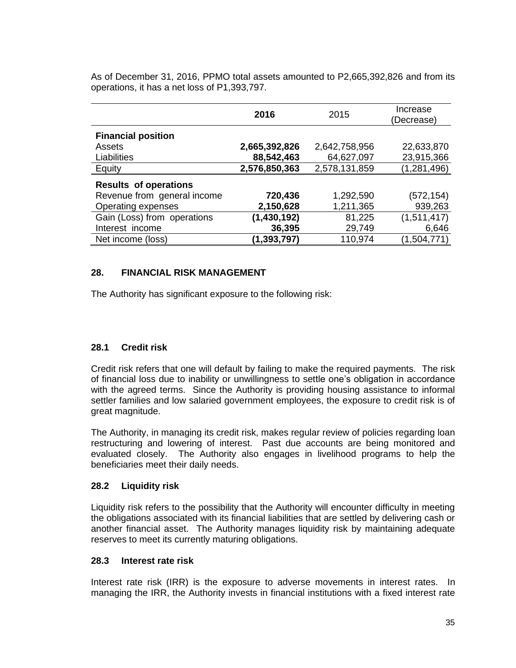|                              | 2016          | 2015          | Increase<br>(Decrease) |
|------------------------------|---------------|---------------|------------------------|
| <b>Financial position</b>    |               |               |                        |
| Assets                       | 2,665,392,826 | 2,642,758,956 | 22,633,870             |
| Liabilities                  | 88,542,463    | 64,627,097    | 23,915,366             |
| Equity                       | 2,576,850,363 | 2,578,131,859 | (1, 281, 496)          |
| <b>Results of operations</b> |               |               |                        |
| Revenue from general income  | 720,436       | 1,292,590     | (572, 154)             |
| Operating expenses           | 2,150,628     | 1,211,365     | 939,263                |
| Gain (Loss) from operations  | (1,430,192)   | 81,225        | (1,511,417)            |
| Interest income              | 36,395        | 29,749        | 6,646                  |
| Net income (loss)            | (1, 393, 797) | 110,974       | (1,504,771)            |

As of December 31, 2016, PPMO total assets amounted to P2,665,392,826 and from its operations, it has a net loss of P1,393,797.

# **28. FINANCIAL RISK MANAGEMENT**

The Authority has significant exposure to the following risk:

## **28.1 Credit risk**

Credit risk refers that one will default by failing to make the required payments. The risk of financial loss due to inability or unwillingness to settle one's obligation in accordance with the agreed terms. Since the Authority is providing housing assistance to informal settler families and low salaried government employees, the exposure to credit risk is of great magnitude.

The Authority, in managing its credit risk, makes regular review of policies regarding loan restructuring and lowering of interest. Past due accounts are being monitored and evaluated closely. The Authority also engages in livelihood programs to help the beneficiaries meet their daily needs.

#### **28.2 Liquidity risk**

Liquidity risk refers to the possibility that the Authority will encounter difficulty in meeting the obligations associated with its financial liabilities that are settled by delivering cash or another financial asset. The Authority manages liquidity risk by maintaining adequate reserves to meet its currently maturing obligations.

#### **28.3 Interest rate risk**

Interest rate risk (IRR) is the exposure to adverse movements in interest rates. In managing the IRR, the Authority invests in financial institutions with a fixed interest rate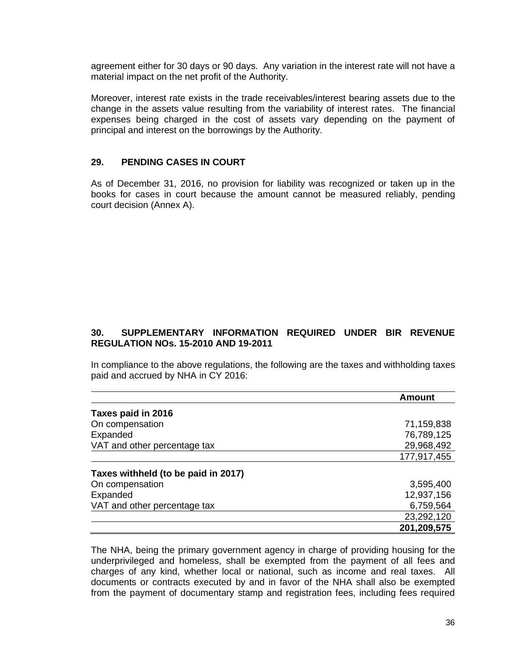agreement either for 30 days or 90 days. Any variation in the interest rate will not have a material impact on the net profit of the Authority.

Moreover, interest rate exists in the trade receivables/interest bearing assets due to the change in the assets value resulting from the variability of interest rates. The financial expenses being charged in the cost of assets vary depending on the payment of principal and interest on the borrowings by the Authority.

# **29. PENDING CASES IN COURT**

As of December 31, 2016, no provision for liability was recognized or taken up in the books for cases in court because the amount cannot be measured reliably, pending court decision (Annex A).

# **30. SUPPLEMENTARY INFORMATION REQUIRED UNDER BIR REVENUE REGULATION NOs. 15-2010 AND 19-2011**

In compliance to the above regulations, the following are the taxes and withholding taxes paid and accrued by NHA in CY 2016:

|                                     | <b>Amount</b> |
|-------------------------------------|---------------|
| Taxes paid in 2016                  |               |
| On compensation                     | 71,159,838    |
| Expanded                            | 76,789,125    |
| VAT and other percentage tax        | 29,968,492    |
|                                     | 177,917,455   |
| Taxes withheld (to be paid in 2017) |               |
| On compensation                     | 3,595,400     |
| Expanded                            | 12,937,156    |
| VAT and other percentage tax        | 6,759,564     |
|                                     | 23,292,120    |
|                                     | 201,209,575   |

The NHA, being the primary government agency in charge of providing housing for the underprivileged and homeless, shall be exempted from the payment of all fees and charges of any kind, whether local or national, such as income and real taxes. All documents or contracts executed by and in favor of the NHA shall also be exempted from the payment of documentary stamp and registration fees, including fees required